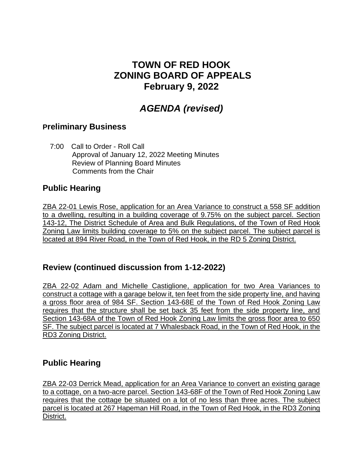## **TOWN OF RED HOOK ZONING BOARD OF APPEALS February 9, 2022**

# *AGENDA (revised)*

#### **Preliminary Business**

 7:00 Call to Order - Roll Call Approval of January 12, 2022 Meeting Minutes Review of Planning Board Minutes Comments from the Chair

### **Public Hearing**

ZBA 22-01 Lewis Rose, application for an Area Variance to construct a 558 SF addition to a dwelling, resulting in a building coverage of 9.75% on the subject parcel. Section 143-12, The District Schedule of Area and Bulk Regulations, of the Town of Red Hook Zoning Law limits building coverage to 5% on the subject parcel. The subject parcel is located at 894 River Road, in the Town of Red Hook, in the RD 5 Zoning District.

### **Review (continued discussion from 1-12-2022)**

ZBA 22-02 Adam and Michelle Castiglione, application for two Area Variances to construct a cottage with a garage below it, ten feet from the side property line, and having a gross floor area of 984 SF. Section 143-68E of the Town of Red Hook Zoning Law requires that the structure shall be set back 35 feet from the side property line, and Section 143-68A of the Town of Red Hook Zoning Law limits the gross floor area to 650 SF. The subject parcel is located at 7 Whalesback Road, in the Town of Red Hook, in the RD3 Zoning District.

### **Public Hearing**

ZBA 22-03 Derrick Mead, application for an Area Variance to convert an existing garage to a cottage, on a two-acre parcel. Section 143-68F of the Town of Red Hook Zoning Law requires that the cottage be situated on a lot of no less than three acres. The subject parcel is located at 267 Hapeman Hill Road, in the Town of Red Hook, in the RD3 Zoning District.